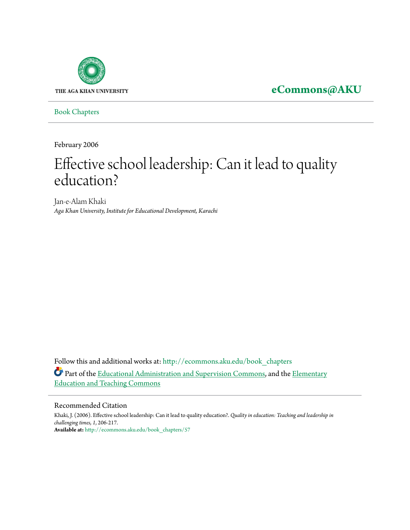

**[eCommons@AKU](http://ecommons.aku.edu?utm_source=ecommons.aku.edu%2Fbook_chapters%2F57&utm_medium=PDF&utm_campaign=PDFCoverPages)**

[Book Chapters](http://ecommons.aku.edu/book_chapters?utm_source=ecommons.aku.edu%2Fbook_chapters%2F57&utm_medium=PDF&utm_campaign=PDFCoverPages)

February 2006

# Effective school leadership: Can it lead to quality education?

Jan-e-Alam Khaki *Aga Khan University, Institute for Educational Development, Karachi*

Follow this and additional works at: [http://ecommons.aku.edu/book\\_chapters](http://ecommons.aku.edu/book_chapters?utm_source=ecommons.aku.edu%2Fbook_chapters%2F57&utm_medium=PDF&utm_campaign=PDFCoverPages) Part of the [Educational Administration and Supervision Commons,](http://network.bepress.com/hgg/discipline/787?utm_source=ecommons.aku.edu%2Fbook_chapters%2F57&utm_medium=PDF&utm_campaign=PDFCoverPages) and the [Elementary](http://network.bepress.com/hgg/discipline/805?utm_source=ecommons.aku.edu%2Fbook_chapters%2F57&utm_medium=PDF&utm_campaign=PDFCoverPages) [Education and Teaching Commons](http://network.bepress.com/hgg/discipline/805?utm_source=ecommons.aku.edu%2Fbook_chapters%2F57&utm_medium=PDF&utm_campaign=PDFCoverPages)

#### Recommended Citation

Khaki, J. (2006). Effective school leadership: Can it lead to quality education?. *Quality in education: Teaching and leadership in challenging times, 1*, 206-217. **Available at:** [http://ecommons.aku.edu/book\\_chapters/57](http://ecommons.aku.edu/book_chapters/57)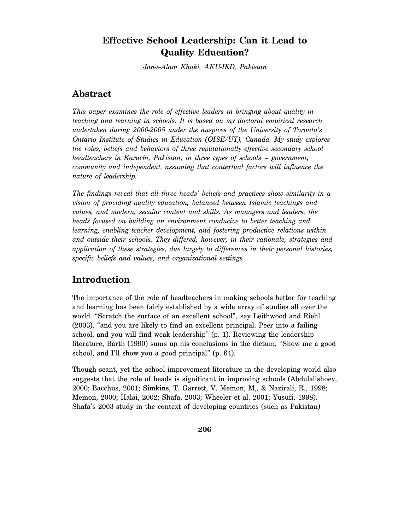## **Effective School Leadership: Can it Lead to Quality Education?**

*Jan-e-Alam Khaki, AKU-IED, Pakistan* 

## **Abstract**

*This paper examines the role of effective leaders in bringing about quality in teaching and learning in schools. It is based on my doctoral empirical research undertaken during 2000-2005 under the auspices of the University of Toronto's Ontario Institute of Studies in Education (OISE/UT), Canada. My study explores the roles, beliefs and behaviors of three reputationally effective secondary school headteachers in Karachi, Pakistan, in three types of schools – government, community and independent, assuming that contextual factors will influence the nature of leadership.* 

*The findings reveal that all three heads' beliefs and practices show similarity in a vision of providing quality education, balanced between Islamic teachings and values, and modern, secular content and skills. As managers and leaders, the heads focused on building an environment conducive to better teaching and learning, enabling teacher development, and fostering productive relations within and outside their schools. They differed, however, in their rationale, strategies and application of these strategies, due largely to differences in their personal histories, specific beliefs and values, and organizational settings.* 

## **Introduction**

The importance of the role of headteachers in making schools better for teaching and learning has been fairly established by a wide array of studies all over the world. "Scratch the surface of an excellent school", say Leithwood and Riehl (2003), "and you are likely to find an excellent principal. Peer into a failing school, and you will find weak leadership" (p. 1). Reviewing the leadership literature, Barth (1990) sums up his conclusions in the dictum, "Show me a good school, and I'll show you a good principal" (p. 64).

Though scant, yet the school improvement literature in the developing world also suggests that the role of heads is significant in improving schools (Abdulalishoev, 2000; Bacchus, 2001; Simkins, T. Garrett, V. Memon, M,. & Nazirali, R., 1998; Memon, 2000; Halai, 2002; Shafa, 2003; Wheeler et al. 2001; Yusufi, 1998). Shafa's 2003 study in the context of developing countries (such as Pakistan)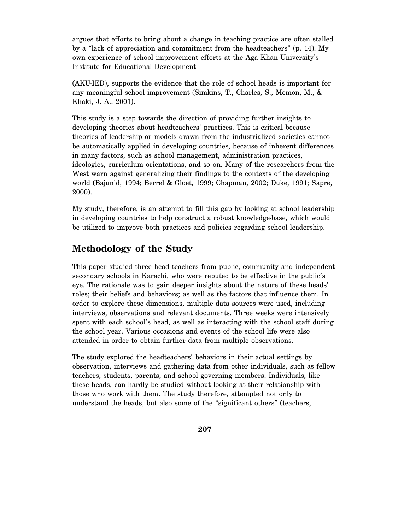argues that efforts to bring about a change in teaching practice are often stalled by a "lack of appreciation and commitment from the headteachers" (p. 14). My own experience of school improvement efforts at the Aga Khan University's Institute for Educational Development

(AKU-IED), supports the evidence that the role of school heads is important for any meaningful school improvement (Simkins, T., Charles, S., Memon, M., & Khaki, J. A., 2001).

This study is a step towards the direction of providing further insights to developing theories about headteachers' practices. This is critical because theories of leadership or models drawn from the industrialized societies cannot be automatically applied in developing countries, because of inherent differences in many factors, such as school management, administration practices, ideologies, curriculum orientations, and so on. Many of the researchers from the West warn against generalizing their findings to the contexts of the developing world (Bajunid, 1994; Berrel & Gloet, 1999; Chapman, 2002; Duke, 1991; Sapre, 2000).

My study, therefore, is an attempt to fill this gap by looking at school leadership in developing countries to help construct a robust knowledge-base, which would be utilized to improve both practices and policies regarding school leadership.

## **Methodology of the Study**

This paper studied three head teachers from public, community and independent secondary schools in Karachi, who were reputed to be effective in the public's eye. The rationale was to gain deeper insights about the nature of these heads' roles; their beliefs and behaviors; as well as the factors that influence them. In order to explore these dimensions, multiple data sources were used, including interviews, observations and relevant documents. Three weeks were intensively spent with each school's head, as well as interacting with the school staff during the school year. Various occasions and events of the school life were also attended in order to obtain further data from multiple observations.

The study explored the headteachers' behaviors in their actual settings by observation, interviews and gathering data from other individuals, such as fellow teachers, students, parents, and school governing members. Individuals, like these heads, can hardly be studied without looking at their relationship with those who work with them. The study therefore, attempted not only to understand the heads, but also some of the "significant others" (teachers,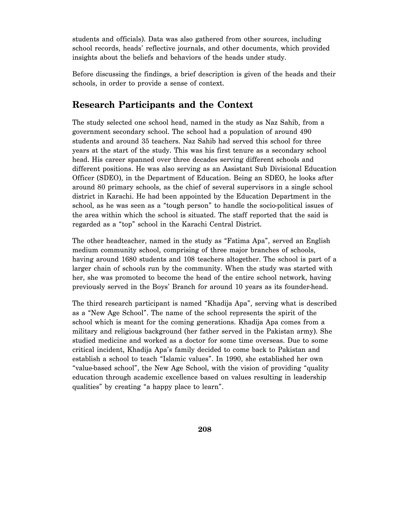students and officials). Data was also gathered from other sources, including school records, heads' reflective journals, and other documents, which provided insights about the beliefs and behaviors of the heads under study.

Before discussing the findings, a brief description is given of the heads and their schools, in order to provide a sense of context.

## **Research Participants and the Context**

The study selected one school head, named in the study as Naz Sahib, from a government secondary school. The school had a population of around 490 students and around 35 teachers. Naz Sahib had served this school for three years at the start of the study. This was his first tenure as a secondary school head. His career spanned over three decades serving different schools and different positions. He was also serving as an Assistant Sub Divisional Education Officer (SDEO), in the Department of Education. Being an SDEO, he looks after around 80 primary schools, as the chief of several supervisors in a single school district in Karachi. He had been appointed by the Education Department in the school, as he was seen as a "tough person" to handle the socio-political issues of the area within which the school is situated. The staff reported that the said is regarded as a "top" school in the Karachi Central District.

The other headteacher, named in the study as "Fatima Apa", served an English medium community school, comprising of three major branches of schools, having around 1680 students and 108 teachers altogether. The school is part of a larger chain of schools run by the community. When the study was started with her, she was promoted to become the head of the entire school network, having previously served in the Boys' Branch for around 10 years as its founder-head.

The third research participant is named "Khadija Apa", serving what is described as a "New Age School". The name of the school represents the spirit of the school which is meant for the coming generations. Khadija Apa comes from a military and religious background (her father served in the Pakistan army). She studied medicine and worked as a doctor for some time overseas. Due to some critical incident, Khadija Apa's family decided to come back to Pakistan and establish a school to teach "Islamic values". In 1990, she established her own "value-based school", the New Age School, with the vision of providing "quality education through academic excellence based on values resulting in leadership qualities" by creating "a happy place to learn".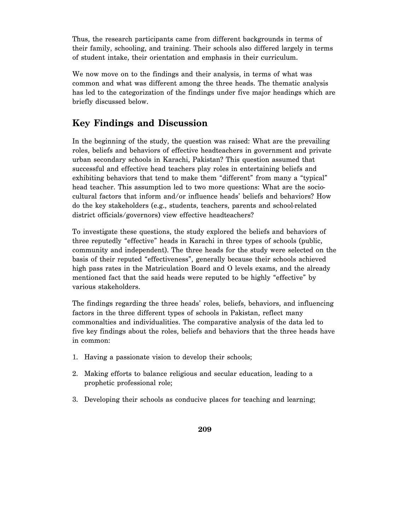Thus, the research participants came from different backgrounds in terms of their family, schooling, and training. Their schools also differed largely in terms of student intake, their orientation and emphasis in their curriculum.

We now move on to the findings and their analysis, in terms of what was common and what was different among the three heads. The thematic analysis has led to the categorization of the findings under five major headings which are briefly discussed below.

## **Key Findings and Discussion**

In the beginning of the study, the question was raised: What are the prevailing roles, beliefs and behaviors of effective headteachers in government and private urban secondary schools in Karachi, Pakistan? This question assumed that successful and effective head teachers play roles in entertaining beliefs and exhibiting behaviors that tend to make them "different" from many a "typical" head teacher. This assumption led to two more questions: What are the sociocultural factors that inform and/or influence heads' beliefs and behaviors? How do the key stakeholders (e.g., students, teachers, parents and school-related district officials/governors) view effective headteachers?

To investigate these questions, the study explored the beliefs and behaviors of three reputedly "effective" heads in Karachi in three types of schools (public, community and independent). The three heads for the study were selected on the basis of their reputed "effectiveness", generally because their schools achieved high pass rates in the Matriculation Board and O levels exams, and the already mentioned fact that the said heads were reputed to be highly "effective" by various stakeholders.

The findings regarding the three heads' roles, beliefs, behaviors, and influencing factors in the three different types of schools in Pakistan, reflect many commonalties and individualities. The comparative analysis of the data led to five key findings about the roles, beliefs and behaviors that the three heads have in common:

- 1. Having a passionate vision to develop their schools;
- 2. Making efforts to balance religious and secular education, leading to a prophetic professional role;
- 3. Developing their schools as conducive places for teaching and learning;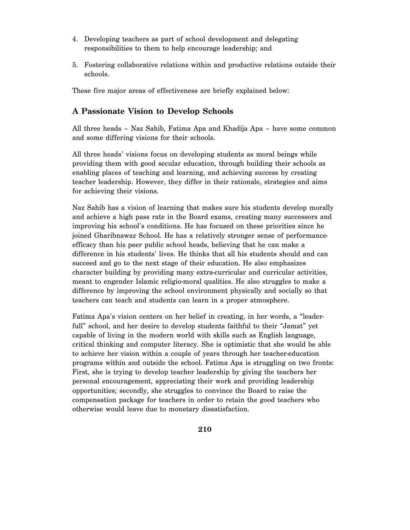- 4. Developing teachers as part of school development and delegating responsibilities to them to help encourage leadership; and
- 5. Fostering collaborative relations within and productive relations outside their schools.

These five major areas of effectiveness are briefly explained below:

#### **A Passionate Vision to Develop Schools**

All three heads – Naz Sahib, Fatima Apa and Khadija Apa – have some common and some differing visions for their schools.

All three heads' visions focus on developing students as moral beings while providing them with good secular education, through building their schools as enabling places of teaching and learning, and achieving success by creating teacher leadership. However, they differ in their rationale, strategies and aims for achieving their visions.

Naz Sahib has a vision of learning that makes sure his students develop morally and achieve a high pass rate in the Board exams, creating many successors and improving his school's conditions. He has focused on these priorities since he joined Gharibnawaz School. He has a relatively stronger sense of performanceefficacy than his peer public school heads, believing that he can make a difference in his students' lives. He thinks that all his students should and can succeed and go to the next stage of their education. He also emphasizes character building by providing many extra-curricular and curricular activities, meant to engender Islamic religio-moral qualities. He also struggles to make a difference by improving the school environment physically and socially so that teachers can teach and students can learn in a proper atmosphere.

Fatima Apa's vision centers on her belief in creating, in her words, a "leaderfull" school, and her desire to develop students faithful to their "Jamat" yet capable of living in the modern world with skills such as English language, critical thinking and computer literacy. She is optimistic that she would be able to achieve her vision within a couple of years through her teacher-education programs within and outside the school. Fatima Apa is struggling on two fronts: First, she is trying to develop teacher leadership by giving the teachers her personal encouragement, appreciating their work and providing leadership opportunities; secondly, she struggles to convince the Board to raise the compensation package for teachers in order to retain the good teachers who otherwise would leave due to monetary dissatisfaction.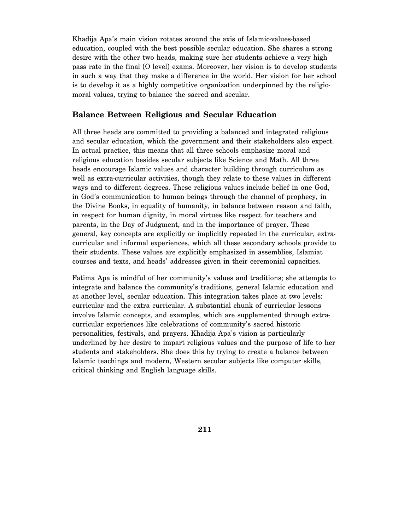Khadija Apa's main vision rotates around the axis of Islamic-values-based education, coupled with the best possible secular education. She shares a strong desire with the other two heads, making sure her students achieve a very high pass rate in the final (O level) exams. Moreover, her vision is to develop students in such a way that they make a difference in the world. Her vision for her school is to develop it as a highly competitive organization underpinned by the religiomoral values, trying to balance the sacred and secular.

#### **Balance Between Religious and Secular Education**

All three heads are committed to providing a balanced and integrated religious and secular education, which the government and their stakeholders also expect. In actual practice, this means that all three schools emphasize moral and religious education besides secular subjects like Science and Math. All three heads encourage Islamic values and character building through curriculum as well as extra-curricular activities, though they relate to these values in different ways and to different degrees. These religious values include belief in one God, in God's communication to human beings through the channel of prophecy, in the Divine Books, in equality of humanity, in balance between reason and faith, in respect for human dignity, in moral virtues like respect for teachers and parents, in the Day of Judgment, and in the importance of prayer. These general, key concepts are explicitly or implicitly repeated in the curricular, extracurricular and informal experiences, which all these secondary schools provide to their students. These values are explicitly emphasized in assemblies, Islamiat courses and texts, and heads' addresses given in their ceremonial capacities.

Fatima Apa is mindful of her community's values and traditions; she attempts to integrate and balance the community's traditions, general Islamic education and at another level, secular education. This integration takes place at two levels: curricular and the extra curricular. A substantial chunk of curricular lessons involve Islamic concepts, and examples, which are supplemented through extracurricular experiences like celebrations of community's sacred historic personalities, festivals, and prayers. Khadija Apa's vision is particularly underlined by her desire to impart religious values and the purpose of life to her students and stakeholders. She does this by trying to create a balance between Islamic teachings and modern, Western secular subjects like computer skills, critical thinking and English language skills.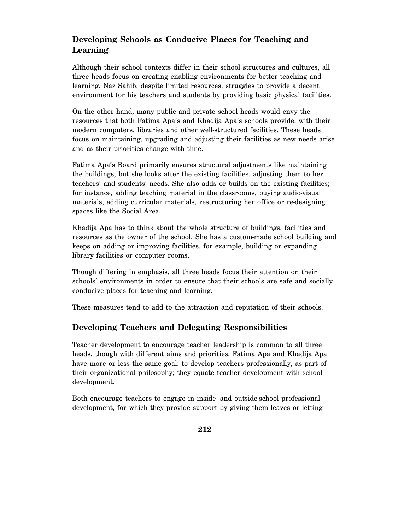#### **Developing Schools as Conducive Places for Teaching and Learning**

Although their school contexts differ in their school structures and cultures, all three heads focus on creating enabling environments for better teaching and learning. Naz Sahib, despite limited resources, struggles to provide a decent environment for his teachers and students by providing basic physical facilities.

On the other hand, many public and private school heads would envy the resources that both Fatima Apa's and Khadija Apa's schools provide, with their modern computers, libraries and other well-structured facilities. These heads focus on maintaining, upgrading and adjusting their facilities as new needs arise and as their priorities change with time.

Fatima Apa's Board primarily ensures structural adjustments like maintaining the buildings, but she looks after the existing facilities, adjusting them to her teachers' and students' needs. She also adds or builds on the existing facilities; for instance, adding teaching material in the classrooms, buying audio-visual materials, adding curricular materials, restructuring her office or re-designing spaces like the Social Area.

Khadija Apa has to think about the whole structure of buildings, facilities and resources as the owner of the school. She has a custom-made school building and keeps on adding or improving facilities, for example, building or expanding library facilities or computer rooms.

Though differing in emphasis, all three heads focus their attention on their schools' environments in order to ensure that their schools are safe and socially conducive places for teaching and learning.

These measures tend to add to the attraction and reputation of their schools.

#### **Developing Teachers and Delegating Responsibilities**

Teacher development to encourage teacher leadership is common to all three heads, though with different aims and priorities. Fatima Apa and Khadija Apa have more or less the same goal: to develop teachers professionally, as part of their organizational philosophy; they equate teacher development with school development.

Both encourage teachers to engage in inside- and outside-school professional development, for which they provide support by giving them leaves or letting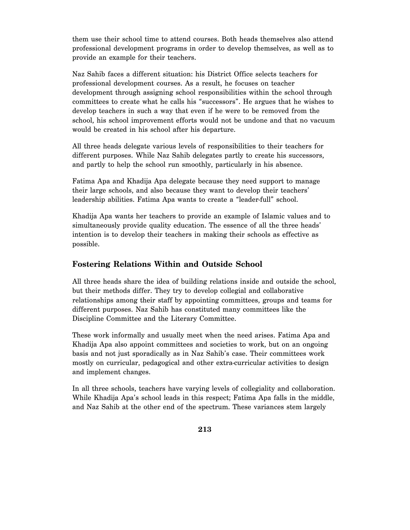them use their school time to attend courses. Both heads themselves also attend professional development programs in order to develop themselves, as well as to provide an example for their teachers.

Naz Sahib faces a different situation: his District Office selects teachers for professional development courses. As a result, he focuses on teacher development through assigning school responsibilities within the school through committees to create what he calls his "successors". He argues that he wishes to develop teachers in such a way that even if he were to be removed from the school, his school improvement efforts would not be undone and that no vacuum would be created in his school after his departure.

All three heads delegate various levels of responsibilities to their teachers for different purposes. While Naz Sahib delegates partly to create his successors, and partly to help the school run smoothly, particularly in his absence.

Fatima Apa and Khadija Apa delegate because they need support to manage their large schools, and also because they want to develop their teachers' leadership abilities. Fatima Apa wants to create a "leader-full" school.

Khadija Apa wants her teachers to provide an example of Islamic values and to simultaneously provide quality education. The essence of all the three heads' intention is to develop their teachers in making their schools as effective as possible.

#### **Fostering Relations Within and Outside School**

All three heads share the idea of building relations inside and outside the school, but their methods differ. They try to develop collegial and collaborative relationships among their staff by appointing committees, groups and teams for different purposes. Naz Sahib has constituted many committees like the Discipline Committee and the Literary Committee.

These work informally and usually meet when the need arises. Fatima Apa and Khadija Apa also appoint committees and societies to work, but on an ongoing basis and not just sporadically as in Naz Sahib's case. Their committees work mostly on curricular, pedagogical and other extra-curricular activities to design and implement changes.

In all three schools, teachers have varying levels of collegiality and collaboration. While Khadija Apa's school leads in this respect; Fatima Apa falls in the middle, and Naz Sahib at the other end of the spectrum. These variances stem largely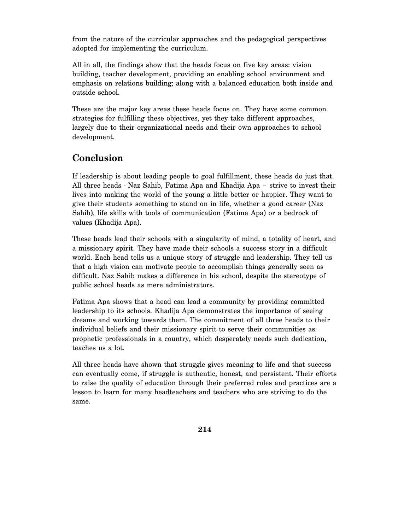from the nature of the curricular approaches and the pedagogical perspectives adopted for implementing the curriculum.

All in all, the findings show that the heads focus on five key areas: vision building, teacher development, providing an enabling school environment and emphasis on relations building; along with a balanced education both inside and outside school.

These are the major key areas these heads focus on. They have some common strategies for fulfilling these objectives, yet they take different approaches, largely due to their organizational needs and their own approaches to school development.

## **Conclusion**

If leadership is about leading people to goal fulfillment, these heads do just that. All three heads - Naz Sahib, Fatima Apa and Khadija Apa – strive to invest their lives into making the world of the young a little better or happier. They want to give their students something to stand on in life, whether a good career (Naz Sahib), life skills with tools of communication (Fatima Apa) or a bedrock of values (Khadija Apa).

These heads lead their schools with a singularity of mind, a totality of heart, and a missionary spirit. They have made their schools a success story in a difficult world. Each head tells us a unique story of struggle and leadership. They tell us that a high vision can motivate people to accomplish things generally seen as difficult. Naz Sahib makes a difference in his school, despite the stereotype of public school heads as mere administrators.

Fatima Apa shows that a head can lead a community by providing committed leadership to its schools. Khadija Apa demonstrates the importance of seeing dreams and working towards them. The commitment of all three heads to their individual beliefs and their missionary spirit to serve their communities as prophetic professionals in a country, which desperately needs such dedication, teaches us a lot.

All three heads have shown that struggle gives meaning to life and that success can eventually come, if struggle is authentic, honest, and persistent. Their efforts to raise the quality of education through their preferred roles and practices are a lesson to learn for many headteachers and teachers who are striving to do the same.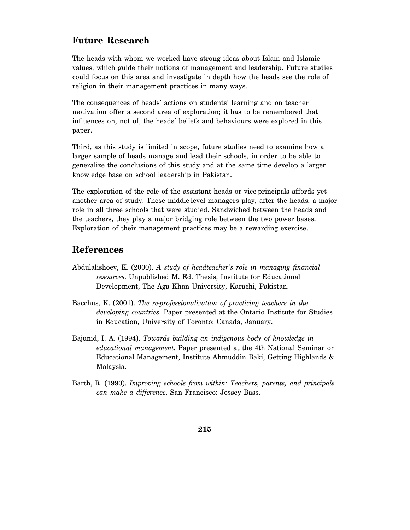## **Future Research**

The heads with whom we worked have strong ideas about Islam and Islamic values, which guide their notions of management and leadership. Future studies could focus on this area and investigate in depth how the heads see the role of religion in their management practices in many ways.

The consequences of heads' actions on students' learning and on teacher motivation offer a second area of exploration; it has to be remembered that influences on, not of, the heads' beliefs and behaviours were explored in this paper.

Third, as this study is limited in scope, future studies need to examine how a larger sample of heads manage and lead their schools, in order to be able to generalize the conclusions of this study and at the same time develop a larger knowledge base on school leadership in Pakistan.

The exploration of the role of the assistant heads or vice-principals affords yet another area of study. These middle-level managers play, after the heads, a major role in all three schools that were studied. Sandwiched between the heads and the teachers, they play a major bridging role between the two power bases. Exploration of their management practices may be a rewarding exercise.

## **References**

- Abdulalishoev, K. (2000). *A study of headteacher's role in managing financial resources*. Unpublished M. Ed. Thesis, Institute for Educational Development, The Aga Khan University, Karachi, Pakistan.
- Bacchus, K. (2001). *The re-professionalization of practicing teachers in the developing countries*. Paper presented at the Ontario Institute for Studies in Education, University of Toronto: Canada, January.
- Bajunid, I. A. (1994). *Towards building an indigenous body of knowledge in educational management*. Paper presented at the 4th National Seminar on Educational Management, Institute Ahmuddin Baki, Getting Highlands & Malaysia.
- Barth, R. (1990). *Improving schools from within: Teachers, parents, and principals can make a difference*. San Francisco: Jossey Bass.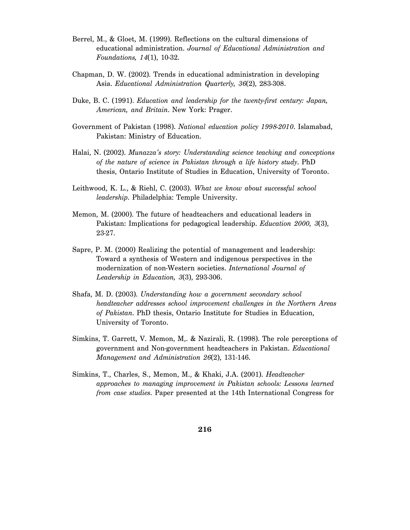- Berrel, M., & Gloet, M. (1999). Reflections on the cultural dimensions of educational administration. *Journal of Educational Administration and Foundations, 14*(1), 10-32.
- Chapman, D. W. (2002). Trends in educational administration in developing Asia. *Educational Administration Quarterly, 36*(2), 283-308.
- Duke, B. C. (1991). *Education and leadership for the twenty-first century: Japan, American, and Britain*. New York: Prager.
- Government of Pakistan (1998). *National education policy 1998-2010*. Islamabad, Pakistan: Ministry of Education.
- Halai, N. (2002). *Munazza's story: Understanding science teaching and conceptions of the nature of science in Pakistan through a life history study*. PhD thesis, Ontario Institute of Studies in Education, University of Toronto.
- Leithwood, K. L., & Riehl, C. (2003). *What we know about successful school leadership*. Philadelphia: Temple University.
- Memon, M. (2000). The future of headteachers and educational leaders in Pakistan: Implications for pedagogical leadership. *Education 2000, 3*(3), 23-27.
- Sapre, P. M. (2000) Realizing the potential of management and leadership: Toward a synthesis of Western and indigenous perspectives in the modernization of non-Western societies. *International Journal of Leadership in Education, 3*(3), 293-306.
- Shafa, M. D. (2003). *Understanding how a government secondary school headteacher addresses school improvement challenges in the Northern Areas of Pakistan*. PhD thesis, Ontario Institute for Studies in Education, University of Toronto.
- Simkins, T. Garrett, V. Memon, M,. & Nazirali, R. (1998). The role perceptions of government and Non-government headteachers in Pakistan. *Educational Management and Administration 26*(2), 131-146.
- Simkins, T., Charles, S., Memon, M., & Khaki, J.A. (2001). *Headteacher approaches to managing improvement in Pakistan schools: Lessons learned from case studies*. Paper presented at the 14th International Congress for